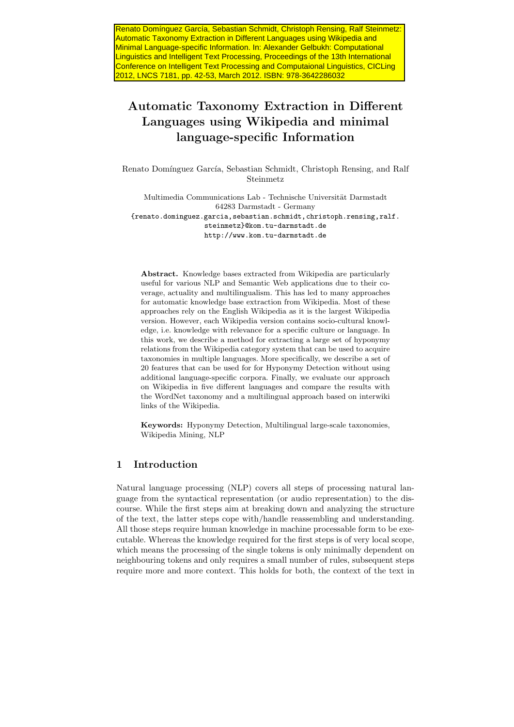Renato Domínguez García, Sebastian Schmidt, Christoph Rensing, Ralf Steinmetz: Automatic Taxonomy Extraction in Different Languages using Wikipedia and Minimal Language-specific Information. In: Alexander Gelbukh: Computational Linguistics and Intelligent Text Processing, Proceedings of the 13th International Conference on Intelligent Text Processing and Computaional Linguistics, CICLing 2012, LNCS 7181, pp. 42-53, March 2012. ISBN: 978-3642286032

# **Automatic Taxonomy Extraction in Different Languages using Wikipedia and minimal language-specific Information**

Renato Domínguez García, Sebastian Schmidt, Christoph Rensing, and Ralf Steinmetz

Multimedia Communications Lab - Technische Universität Darmstadt 64283 Darmstadt - Germany {renato.dominguez.garcia,sebastian.schmidt,christoph.rensing,ralf. steinmetz}@kom.tu-darmstadt.de http://www.kom.tu-darmstadt.de

**Abstract.** Knowledge bases extracted from Wikipedia are particularly useful for various NLP and Semantic Web applications due to their coverage, actuality and multilingualism. This has led to many approaches for automatic knowledge base extraction from Wikipedia. Most of these approaches rely on the English Wikipedia as it is the largest Wikipedia version. However, each Wikipedia version contains socio-cultural knowledge, i.e. knowledge with relevance for a specific culture or language. In this work, we describe a method for extracting a large set of hyponymy relations from the Wikipedia category system that can be used to acquire taxonomies in multiple languages. More specifically, we describe a set of 20 features that can be used for for Hyponymy Detection without using additional language-specific corpora. Finally, we evaluate our approach on Wikipedia in five different languages and compare the results with the WordNet taxonomy and a multilingual approach based on interwiki links of the Wikipedia.

**Keywords:** Hyponymy Detection, Multilingual large-scale taxonomies, Wikipedia Mining, NLP

# **1 Introduction**

Natural language processing (NLP) covers all steps of processing natural language from the syntactical representation (or audio representation) to the discourse. While the first steps aim at breaking down and analyzing the structure of the text, the latter steps cope with/handle reassembling and understanding. All those steps require human knowledge in machine processable form to be executable. Whereas the knowledge required for the first steps is of very local scope, which means the processing of the single tokens is only minimally dependent on neighbouring tokens and only requires a small number of rules, subsequent steps require more and more context. This holds for both, the context of the text in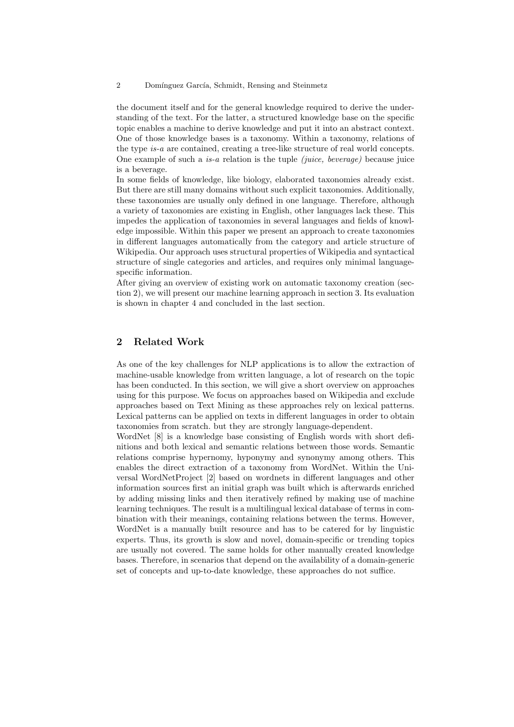the document itself and for the general knowledge required to derive the understanding of the text. For the latter, a structured knowledge base on the specific topic enables a machine to derive knowledge and put it into an abstract context. One of those knowledge bases is a taxonomy. Within a taxonomy, relations of the type is-a are contained, creating a tree-like structure of real world concepts. One example of such a *is-a* relation is the tuple *(juice, beverage)* because juice is a beverage.

In some fields of knowledge, like biology, elaborated taxonomies already exist. But there are still many domains without such explicit taxonomies. Additionally, these taxonomies are usually only defined in one language. Therefore, although a variety of taxonomies are existing in English, other languages lack these. This impedes the application of taxonomies in several languages and fields of knowledge impossible. Within this paper we present an approach to create taxonomies in different languages automatically from the category and article structure of Wikipedia. Our approach uses structural properties of Wikipedia and syntactical structure of single categories and articles, and requires only minimal languagespecific information.

After giving an overview of existing work on automatic taxonomy creation (section 2), we will present our machine learning approach in section 3. Its evaluation is shown in chapter 4 and concluded in the last section.

## **2 Related Work**

As one of the key challenges for NLP applications is to allow the extraction of machine-usable knowledge from written language, a lot of research on the topic has been conducted. In this section, we will give a short overview on approaches using for this purpose. We focus on approaches based on Wikipedia and exclude approaches based on Text Mining as these approaches rely on lexical patterns. Lexical patterns can be applied on texts in different languages in order to obtain taxonomies from scratch. but they are strongly language-dependent.

WordNet [8] is a knowledge base consisting of English words with short definitions and both lexical and semantic relations between those words. Semantic relations comprise hypernomy, hyponymy and synonymy among others. This enables the direct extraction of a taxonomy from WordNet. Within the Universal WordNetProject [2] based on wordnets in different languages and other information sources first an initial graph was built which is afterwards enriched by adding missing links and then iteratively refined by making use of machine learning techniques. The result is a multilingual lexical database of terms in combination with their meanings, containing relations between the terms. However, WordNet is a manually built resource and has to be catered for by linguistic experts. Thus, its growth is slow and novel, domain-specific or trending topics are usually not covered. The same holds for other manually created knowledge bases. Therefore, in scenarios that depend on the availability of a domain-generic set of concepts and up-to-date knowledge, these approaches do not suffice.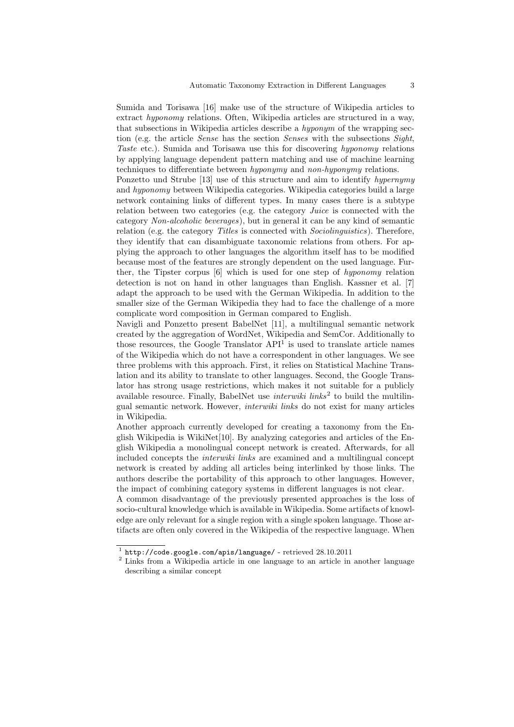Sumida and Torisawa [16] make use of the structure of Wikipedia articles to extract hyponomy relations. Often, Wikipedia articles are structured in a way, that subsections in Wikipedia articles describe a hyponym of the wrapping section (e.g. the article Sense has the section Senses with the subsections Sight, Taste etc.). Sumida and Torisawa use this for discovering hyponomy relations by applying language dependent pattern matching and use of machine learning techniques to differentiate between hyponymy and non-hyponymy relations.

Ponzetto und Strube [13] use of this structure and aim to identify hypernymy and hyponomy between Wikipedia categories. Wikipedia categories build a large network containing links of different types. In many cases there is a subtype relation between two categories (e.g. the category Juice is connected with the category Non-alcoholic beverages), but in general it can be any kind of semantic relation (e.g. the category Titles is connected with Sociolinguistics). Therefore, they identify that can disambiguate taxonomic relations from others. For applying the approach to other languages the algorithm itself has to be modified because most of the features are strongly dependent on the used language. Further, the Tipster corpus [6] which is used for one step of hyponomy relation detection is not on hand in other languages than English. Kassner et al. [7] adapt the approach to be used with the German Wikipedia. In addition to the smaller size of the German Wikipedia they had to face the challenge of a more complicate word composition in German compared to English.

Navigli and Ponzetto present BabelNet [11], a multilingual semantic network created by the aggregation of WordNet, Wikipedia and SemCor. Additionally to those resources, the Google Translator API<sup>1</sup> is used to translate article names of the Wikipedia which do not have a correspondent in other languages. We see three problems with this approach. First, it relies on Statistical Machine Translation and its ability to translate to other languages. Second, the Google Translator has strong usage restrictions, which makes it not suitable for a publicly available resource. Finally, BabelNet use  $interviki\ links^2$  to build the multilingual semantic network. However, interwiki links do not exist for many articles in Wikipedia.

Another approach currently developed for creating a taxonomy from the English Wikipedia is WikiNet[10]. By analyzing categories and articles of the English Wikipedia a monolingual concept network is created. Afterwards, for all included concepts the interwiki links are examined and a multilingual concept network is created by adding all articles being interlinked by those links. The authors describe the portability of this approach to other languages. However, the impact of combining category systems in different languages is not clear.

A common disadvantage of the previously presented approaches is the loss of socio-cultural knowledge which is available in Wikipedia. Some artifacts of knowledge are only relevant for a single region with a single spoken language. Those artifacts are often only covered in the Wikipedia of the respective language. When

 $\frac{1}{1}$  http://code.google.com/apis/language/ - retrieved 28.10.2011

<sup>&</sup>lt;sup>2</sup> Links from a Wikipedia article in one language to an article in another language describing a similar concept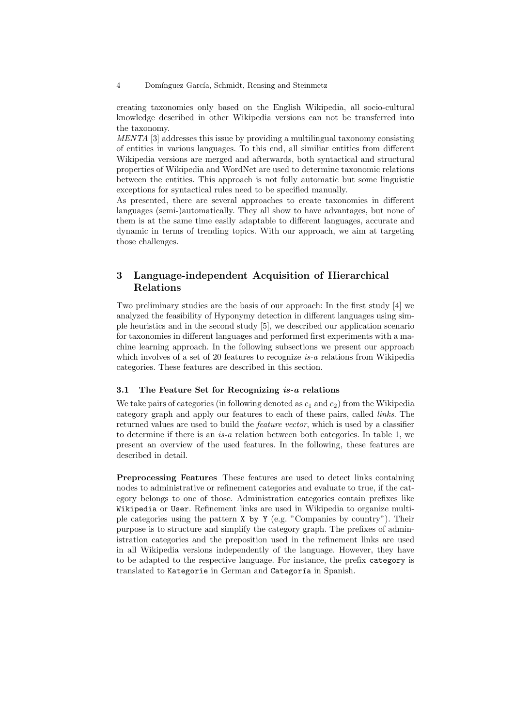creating taxonomies only based on the English Wikipedia, all socio-cultural knowledge described in other Wikipedia versions can not be transferred into the taxonomy.

MENTA [3] addresses this issue by providing a multilingual taxonomy consisting of entities in various languages. To this end, all similiar entities from different Wikipedia versions are merged and afterwards, both syntactical and structural properties of Wikipedia and WordNet are used to determine taxonomic relations between the entities. This approach is not fully automatic but some linguistic exceptions for syntactical rules need to be specified manually.

As presented, there are several approaches to create taxonomies in different languages (semi-)automatically. They all show to have advantages, but none of them is at the same time easily adaptable to different languages, accurate and dynamic in terms of trending topics. With our approach, we aim at targeting those challenges.

# **3 Language-independent Acquisition of Hierarchical Relations**

Two preliminary studies are the basis of our approach: In the first study [4] we analyzed the feasibility of Hyponymy detection in different languages using simple heuristics and in the second study [5], we described our application scenario for taxonomies in different languages and performed first experiments with a machine learning approach. In the following subsections we present our approach which involves of a set of 20 features to recognize *is-a* relations from Wikipedia categories. These features are described in this section.

## **3.1 The Feature Set for Recognizing** *is-a* **relations**

We take pairs of categories (in following denoted as  $c_1$  and  $c_2$ ) from the Wikipedia category graph and apply our features to each of these pairs, called links. The returned values are used to build the feature vector, which is used by a classifier to determine if there is an is-a relation between both categories. In table 1, we present an overview of the used features. In the following, these features are described in detail.

**Preprocessing Features** These features are used to detect links containing nodes to administrative or refinement categories and evaluate to true, if the category belongs to one of those. Administration categories contain prefixes like Wikipedia or User. Refinement links are used in Wikipedia to organize multiple categories using the pattern X by Y (e.g. "Companies by country"). Their purpose is to structure and simplify the category graph. The prefixes of administration categories and the preposition used in the refinement links are used in all Wikipedia versions independently of the language. However, they have to be adapted to the respective language. For instance, the prefix category is translated to Kategorie in German and Categoría in Spanish.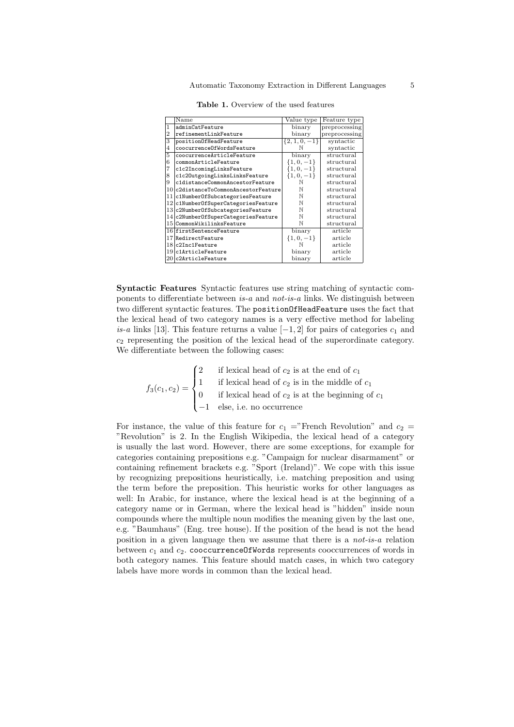|                | $\overline{\text{Name}}$                | Value type        | Feature type  |
|----------------|-----------------------------------------|-------------------|---------------|
| 1              | adminCatFeature                         | binary            | preprocessing |
| $\overline{2}$ | refinementLinkFeature                   | $_{\rm binary}$   | preprocessing |
| 3              | positionOfHeadFeature                   | $\{2, 1, 0, -1\}$ | syntactic     |
| 4              | coocurrenceOfWordsFeature               | N                 | syntactic     |
| 5              | coocurrenceArticleFeature               | binary            | structural    |
| 6              | commonArticleFeature                    | $\{1, 0, -1\}$    | structural    |
| 7              | c1c2IncomingLinksFeature                | $\{1, 0, -1\}$    | structural    |
| 8              | c1c20utgoingLinksLinksFeature           | $\{1, 0, -1\}$    | structural    |
| 9              | c1distanceCommonAncestorFeature         | N                 | structural    |
|                | $10 c2$ distanceToCommonAncestorFeature | N                 | structural    |
| 111            | c1Number0fSubcategoriesFeature          | N                 | structural    |
|                | 12 c1Number0fSuperCategoriesFeature     | N                 | structural    |
|                | $13 c2$ NumberOfSubcategoriesFeature    | N                 | structural    |
|                | 14 c2Number0fSuperCategoriesFeature     | N                 | structural    |
|                | 15 CommonWikilinksFeature               | N                 | structural    |
|                | $16$  firstSentenceFeature              | $_{\rm binary}$   | article       |
|                | $17$ RedirectFeature                    | $\{1, 0, -1\}$    | article       |
|                | $18$  c $2$ Inc $1$ Feature             | N                 | article       |
|                | $19 $ c1ArticleFeature                  | binary            | article       |
|                | $20 $ c $2$ ArticleFeature              | binary            | article       |

**Table 1.** Overview of the used features

**Syntactic Features** Syntactic features use string matching of syntactic components to differentiate between is-a and not-is-a links. We distinguish between two different syntactic features. The positionOfHeadFeature uses the fact that the lexical head of two category names is a very effective method for labeling is-a links [13]. This feature returns a value  $[-1, 2]$  for pairs of categories  $c_1$  and  $c_2$  representing the position of the lexical head of the superordinate category. We differentiate between the following cases:

$$
f_3(c_1, c_2) = \begin{cases} 2 & \text{if lexical head of } c_2 \text{ is at the end of } c_1 \\ 1 & \text{if lexical head of } c_2 \text{ is in the middle of } c_1 \\ 0 & \text{if lexical head of } c_2 \text{ is at the beginning of } c_1 \\ -1 & \text{else, i.e. no occurrence} \end{cases}
$$

For instance, the value of this feature for  $c_1$  ="French Revolution" and  $c_2$  = "Revolution" is 2. In the English Wikipedia, the lexical head of a category is usually the last word. However, there are some exceptions, for example for categories containing prepositions e.g. "Campaign for nuclear disarmament" or containing refinement brackets e.g. "Sport (Ireland)". We cope with this issue by recognizing prepositions heuristically, i.e. matching preposition and using the term before the preposition. This heuristic works for other languages as well: In Arabic, for instance, where the lexical head is at the beginning of a category name or in German, where the lexical head is "hidden" inside noun compounds where the multiple noun modifies the meaning given by the last one, e.g. "Baumhaus" (Eng. tree house). If the position of the head is not the head position in a given language then we assume that there is a  $not-is-a$  relation between  $c_1$  and  $c_2$ . cooccurrenceOfWords represents cooccurrences of words in both category names. This feature should match cases, in which two category labels have more words in common than the lexical head.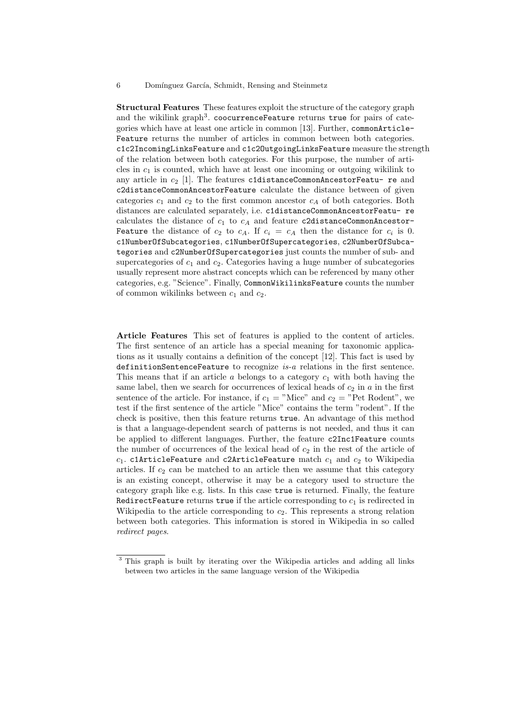**Structural Features** These features exploit the structure of the category graph and the wikilink graph<sup>3</sup>. coocurrenceFeature returns true for pairs of categories which have at least one article in common [13]. Further, commonArticle-Feature returns the number of articles in common between both categories. c1c2IncomingLinksFeature and c1c2OutgoingLinksFeature measure the strength of the relation between both categories. For this purpose, the number of articles in  $c_1$  is counted, which have at least one incoming or outgoing wikilink to any article in  $c_2$  [1]. The features c1distanceCommonAncestorFeatu- re and c2distanceCommonAncestorFeature calculate the distance between of given categories  $c_1$  and  $c_2$  to the first common ancestor  $c_A$  of both categories. Both distances are calculated separately, i.e. c1distanceCommonAncestorFeatu- re calculates the distance of  $c_1$  to  $c_A$  and feature c2distanceCommonAncestor-Feature the distance of  $c_2$  to  $c_A$ . If  $c_i = c_A$  then the distance for  $c_i$  is 0. c1NumberOfSubcategories, c1NumberOfSupercategories, c2NumberOfSubcategories and c2NumberOfSupercategories just counts the number of sub- and supercategories of  $c_1$  and  $c_2$ . Categories having a huge number of subcategories usually represent more abstract concepts which can be referenced by many other categories, e.g. "Science". Finally, CommonWikilinksFeature counts the number of common wikilinks between  $c_1$  and  $c_2$ .

**Article Features** This set of features is applied to the content of articles. The first sentence of an article has a special meaning for taxonomic applications as it usually contains a definition of the concept [12]. This fact is used by definitionSentenceFeature to recognize is-a relations in the first sentence. This means that if an article a belongs to a category  $c_1$  with both having the same label, then we search for occurrences of lexical heads of  $c_2$  in  $a$  in the first sentence of the article. For instance, if  $c_1 =$  "Mice" and  $c_2 =$  "Pet Rodent", we test if the first sentence of the article "Mice" contains the term "rodent". If the check is positive, then this feature returns true. An advantage of this method is that a language-dependent search of patterns is not needed, and thus it can be applied to different languages. Further, the feature c2Inc1Feature counts the number of occurrences of the lexical head of  $c_2$  in the rest of the article of  $c_1$ . c1ArticleFeature and c2ArticleFeature match  $c_1$  and  $c_2$  to Wikipedia articles. If  $c_2$  can be matched to an article then we assume that this category is an existing concept, otherwise it may be a category used to structure the category graph like e.g. lists. In this case true is returned. Finally, the feature RedirectFeature returns true if the article corresponding to  $c_1$  is redirected in Wikipedia to the article corresponding to  $c_2$ . This represents a strong relation between both categories. This information is stored in Wikipedia in so called redirect pages.

<sup>3</sup> This graph is built by iterating over the Wikipedia articles and adding all links between two articles in the same language version of the Wikipedia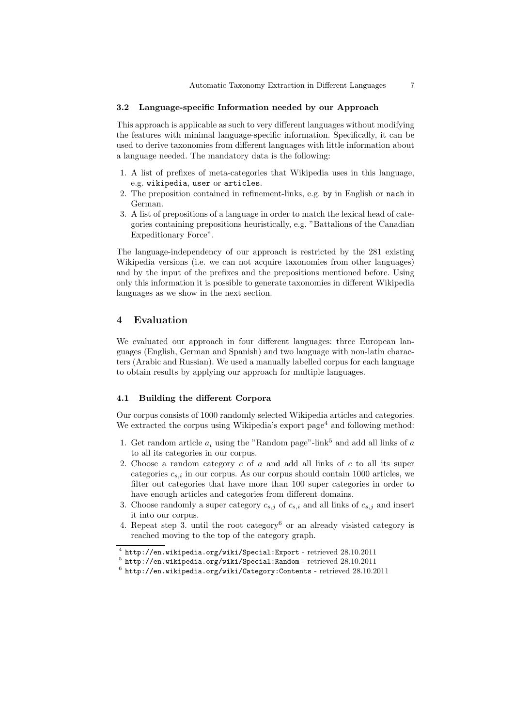## **3.2 Language-specific Information needed by our Approach**

This approach is applicable as such to very different languages without modifying the features with minimal language-specific information. Specifically, it can be used to derive taxonomies from different languages with little information about a language needed. The mandatory data is the following:

- 1. A list of prefixes of meta-categories that Wikipedia uses in this language, e.g. wikipedia, user or articles.
- 2. The preposition contained in refinement-links, e.g. by in English or nach in German.
- 3. A list of prepositions of a language in order to match the lexical head of categories containing prepositions heuristically, e.g. "Battalions of the Canadian Expeditionary Force".

The language-independency of our approach is restricted by the 281 existing Wikipedia versions (i.e. we can not acquire taxonomies from other languages) and by the input of the prefixes and the prepositions mentioned before. Using only this information it is possible to generate taxonomies in different Wikipedia languages as we show in the next section.

## **4 Evaluation**

We evaluated our approach in four different languages: three European languages (English, German and Spanish) and two language with non-latin characters (Arabic and Russian). We used a manually labelled corpus for each language to obtain results by applying our approach for multiple languages.

## **4.1 Building the different Corpora**

Our corpus consists of 1000 randomly selected Wikipedia articles and categories. We extracted the corpus using Wikipedia's export page<sup>4</sup> and following method:

- 1. Get random article  $a_i$  using the "Random page"-link<sup>5</sup> and add all links of a to all its categories in our corpus.
- 2. Choose a random category  $c$  of  $a$  and add all links of  $c$  to all its super categories  $c_{s,i}$  in our corpus. As our corpus should contain 1000 articles, we filter out categories that have more than 100 super categories in order to have enough articles and categories from different domains.
- 3. Choose randomly a super category  $c_{s,j}$  of  $c_{s,i}$  and all links of  $c_{s,j}$  and insert it into our corpus.
- 4. Repeat step 3. until the root category<sup>6</sup> or an already visisted category is reached moving to the top of the category graph.

 $\frac{4 \text{ http://en.wikipedia.org/wiki/Special:Expert - retrieved }28.10.2011}$ 

 $5$  http://en.wikipedia.org/wiki/Special:Random - retrieved 28.10.2011

 $^6$ http://en.wikipedia.org/wiki/Category:Contents - retrieved  $28.10.2011\,$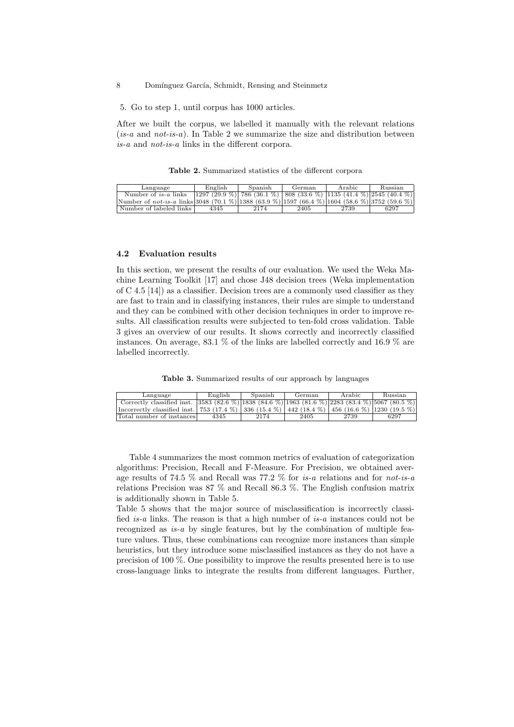5. Go to step 1, until corpus has 1000 articles.

After we built the corpus, we labelled it manually with the relevant relations  $(is-a \text{ and } not-is-a)$ . In Table 2 we summarize the size and distribution between is-a and not-is-a links in the different corpora.

**Table 2.** Summarized statistics of the different corpora

| Language                                                                                       | English | Spanish | German                                                                                                                                 | Arabic | Russian |
|------------------------------------------------------------------------------------------------|---------|---------|----------------------------------------------------------------------------------------------------------------------------------------|--------|---------|
| Number of is-a links                                                                           |         |         | $\vert 1297 \vert (29.9 \%) \vert 786 \vert (36.1 \%) \vert 808 \vert (33.6 \%) \vert 1135 \vert (41.4 \%) \vert 2545 \vert (40.4 \%)$ |        |         |
| Number of not-is-a links 3048 (70.1 %) 1388 (63.9 %) 1597 (66.4 %) 1604 (58.6 %) 3752 (59.6 %) |         |         |                                                                                                                                        |        |         |
| Number of labeled links                                                                        | 4345    | 2174    | 2405                                                                                                                                   | 2739   | 6297    |

## **4.2 Evaluation results**

In this section, we present the results of our evaluation. We used the Weka Machine Learning Toolkit [17] and chose J48 decision trees (Weka implementation of C 4.5 [14]) as a classifier. Decision trees are a commonly used classifier as they are fast to train and in classifying instances, their rules are simple to understand and they can be combined with other decision techniques in order to improve results. All classification results were subjected to ten-fold cross validation. Table 3 gives an overview of our results. It shows correctly and incorrectly classified instances. On average, 83.1 % of the links are labelled correctly and 16.9 % are labelled incorrectly.

**Table 3.** Summarized results of our approach by languages

| Language                                                                                                 | English | Spanish | German | Arabic | <b>Russian</b> |
|----------------------------------------------------------------------------------------------------------|---------|---------|--------|--------|----------------|
| Correctly classified inst. 3583 (82.6 %) 1838 (84.6 %) 1963 (81.6 %) 2283 (83.4 %) 5067 (80.5 %)         |         |         |        |        |                |
| Incorrectly classified inst. [753 (17.4 %)   336 (15.4 %)   442 (18.4 %)   456 (16.6 %)   1230 (19.5 %)] |         |         |        |        |                |
| Total number of instances                                                                                | 4345    | 2174    | 2405   | 2739   | 6297           |

Table 4 summarizes the most common metrics of evaluation of categorization algorithms: Precision, Recall and F-Measure. For Precision, we obtained average results of 74.5 % and Recall was 77.2 % for is-a relations and for *not-is-a* relations Precision was 87 % and Recall 86.3 %. The English confusion matrix is additionally shown in Table 5.

Table 5 shows that the major source of misclassification is incorrectly classified is-a links. The reason is that a high number of is-a instances could not be recognized as  $is-a$  by single features, but by the combination of multiple feature values. Thus, these combinations can recognize more instances than simple heuristics, but they introduce some misclassified instances as they do not have a precision of 100 %. One possibility to improve the results presented here is to use cross-language links to integrate the results from different languages. Further,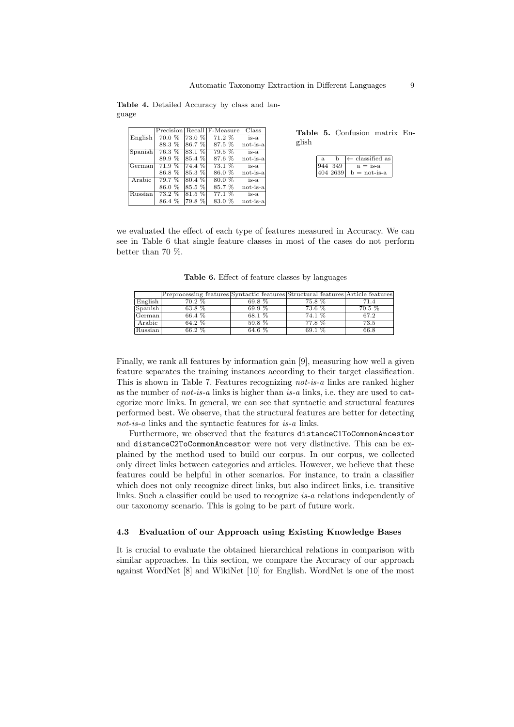| <b>Table 4.</b> Detailed Accuracy by class and lan |  |  |  |  |  |
|----------------------------------------------------|--|--|--|--|--|
| guage                                              |  |  |  |  |  |
|                                                    |  |  |  |  |  |

|         |          |            | Precision Recall F-Measure | Class    |
|---------|----------|------------|----------------------------|----------|
| English | 70.0%    | 73.0 %     | $71.2\%$                   | is-a     |
|         | 88.3 %   | 86.7 %     | 87.5 %                     | not-is-a |
| Spanish | 76.3 %   | 83.1 %     | $79.5\%$                   | $is-a$   |
|         | 89.9 %   | 85.4 %     | 87.6 %                     | not-is-a |
| German  | 71.9 %   | 74.4%      | 73.1%                      | is-a     |
|         | 86.8%    | 85.3 %     | 86.0 %                     | not-is-a |
| Arabic  | $79.7\%$ | 80.4%      | $80.0\%$                   | is-a     |
|         | 86.0 %   | 85.5 %     | 85.7 %                     | not-is-a |
| Russian | $73.2\%$ | $ 81.5\% $ | 77.1%                      | is-a     |
|         | 86.4 %   | 79.8 %     | 83.0 %                     | not-is-a |

**Table 5.** Confusion matrix English

| a |          | $\leftarrow$ classified as |
|---|----------|----------------------------|
|   | 944 349  | $a = i s - a$              |
|   | 404 2639 | $b = not-is-a$             |

we evaluated the effect of each type of features measured in Accuracy. We can see in Table 6 that single feature classes in most of the cases do not perform better than 70 %.

**Table 6.** Effect of feature classes by languages

|         | Preprocessing features Syntactic features Structural features Article features |        |          |        |
|---------|--------------------------------------------------------------------------------|--------|----------|--------|
| English | $70.2 \%$                                                                      | 69.8 % | 75.8%    | 71.4   |
| Spanish | 63.8 $\overline{\%}$                                                           | 69.9%  | 73.6 %   | 70.5 % |
| German  | 66.4 %                                                                         | 68.1 % | 74.1%    | 67.2   |
| Arabic  | 64.2 %                                                                         | 59.8%  | $77.8\%$ | 73.5   |
| Russian | 66.2%                                                                          | 64.6 % | 69.1%    | 66.8   |

Finally, we rank all features by information gain [9], measuring how well a given feature separates the training instances according to their target classification. This is shown in Table 7. Features recognizing not-is-a links are ranked higher as the number of not-is-a links is higher than is-a links, i.e. they are used to categorize more links. In general, we can see that syntactic and structural features performed best. We observe, that the structural features are better for detecting not-is-a links and the syntactic features for is-a links.

Furthermore, we observed that the features distanceC1ToCommonAncestor and distanceC2ToCommonAncestor were not very distinctive. This can be explained by the method used to build our corpus. In our corpus, we collected only direct links between categories and articles. However, we believe that these features could be helpful in other scenarios. For instance, to train a classifier which does not only recognize direct links, but also indirect links, i.e. transitive links. Such a classifier could be used to recognize is-a relations independently of our taxonomy scenario. This is going to be part of future work.

## **4.3 Evaluation of our Approach using Existing Knowledge Bases**

It is crucial to evaluate the obtained hierarchical relations in comparison with similar approaches. In this section, we compare the Accuracy of our approach against WordNet [8] and WikiNet [10] for English. WordNet is one of the most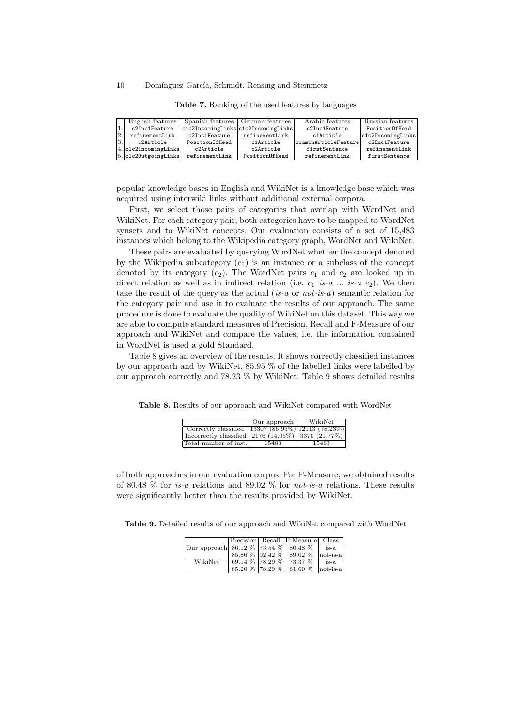|     | English features         |                                     | Spanish features   German features | Arabic features      | Russian features  |
|-----|--------------------------|-------------------------------------|------------------------------------|----------------------|-------------------|
|     | c2Inc1Feature            | c1c2IncomingLinks c1c2IncomingLinks |                                    | c2Inc1Feature        | PositionOfHead    |
| 2.  | refinementLink           | c2Inc1Feature                       | refinementLink                     | c1Article            | c1c2IncomingLinks |
| 13. | c2Article                | PositionOfHead                      | c1Article                          | commonArticleFeature | c2Inc1Feature     |
|     | $ 4. $ c1c2IncomingLinks | c2Article                           | c2Article                          | firstSentence        | refinementLink    |
|     | $ 5. c1c20$ utgoingLinks | refinementLink                      | PositionOfHead                     | refinementLink       | firstSentence     |

**Table 7.** Ranking of the used features by languages

popular knowledge bases in English and WikiNet is a knowledge base which was acquired using interwiki links without additional external corpora.

First, we select those pairs of categories that overlap with WordNet and WikiNet. For each category pair, both categories have to be mapped to WordNet synsets and to WikiNet concepts. Our evaluation consists of a set of 15,483 instances which belong to the Wikipedia category graph, WordNet and WikiNet.

These pairs are evaluated by querying WordNet whether the concept denoted by the Wikipedia subcategory  $(c_1)$  is an instance or a subclass of the concept denoted by its category  $(c_2)$ . The WordNet pairs  $c_1$  and  $c_2$  are looked up in direct relation as well as in indirect relation (i.e.  $c_1$  is-a... is-a  $c_2$ ). We then take the result of the query as the actual  $(is-a \text{ or } not-is-a)$  semantic relation for the category pair and use it to evaluate the results of our approach. The same procedure is done to evaluate the quality of WikiNet on this dataset. This way we are able to compute standard measures of Precision, Recall and F-Measure of our approach and WikiNet and compare the values, i.e. the information contained in WordNet is used a gold Standard.

Table 8 gives an overview of the results. It shows correctly classified instances by our approach and by WikiNet. 85.95 % of the labelled links were labelled by our approach correctly and 78.23 % by WikiNet. Table 9 shows detailed results

**Table 8.** Results of our approach and WikiNet compared with WordNet

|                                                              | $\vert$ Our approach | WikiNet |
|--------------------------------------------------------------|----------------------|---------|
| Correctly classified $ 13307 (85.95\%) 12113 (78.23\%)$      |                      |         |
| Incorrectly classified   2176 $(14.05\%)$   3370 $(21.77\%)$ |                      |         |
| Total number of inst.                                        | 15483                | 15483   |

of both approaches in our evaluation corpus. For F-Measure, we obtained results of 80.48  $\%$  for *is-a* relations and 89.02  $\%$  for *not-is-a* relations. These results were significantly better than the results provided by WikiNet.

**Table 9.** Detailed results of our approach and WikiNet compared with WordNet

|                                               |  | Precision Recall F-Measure Class   |              |
|-----------------------------------------------|--|------------------------------------|--------------|
| Our approach 86.12 $\%$ 73.54 $\%$ 80.48 $\%$ |  |                                    | $i$ s-a      |
|                                               |  | 85.86 % 92.42 % 89.02 %            | $ not-is-a $ |
| WikiNet                                       |  | $69.14\%$ 78.29 % 73.37 %          | is-a         |
|                                               |  | 85.20 % 78.29 % 81.60 %   not-is-a |              |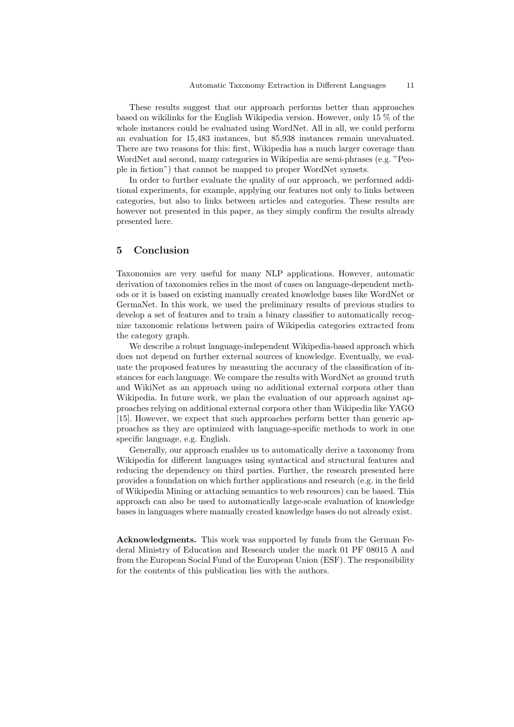These results suggest that our approach performs better than approaches based on wikilinks for the English Wikipedia version. However, only 15 % of the whole instances could be evaluated using WordNet. All in all, we could perform an evaluation for 15,483 instances, but 85,938 instances remain unevaluated. There are two reasons for this: first, Wikipedia has a much larger coverage than WordNet and second, many categories in Wikipedia are semi-phrases (e.g. "People in fiction") that cannot be mapped to proper WordNet synsets.

In order to further evaluate the quality of our approach, we performed additional experiments, for example, applying our features not only to links between categories, but also to links between articles and categories. These results are however not presented in this paper, as they simply confirm the results already presented here.

## **5 Conclusion**

Taxonomies are very useful for many NLP applications. However, automatic derivation of taxonomies relies in the most of cases on language-dependent methods or it is based on existing manually created knowledge bases like WordNet or GermaNet. In this work, we used the preliminary results of previous studies to develop a set of features and to train a binary classifier to automatically recognize taxonomic relations between pairs of Wikipedia categories extracted from the category graph.

We describe a robust language-independent Wikipedia-based approach which does not depend on further external sources of knowledge. Eventually, we evaluate the proposed features by measuring the accuracy of the classification of instances for each language. We compare the results with WordNet as ground truth and WikiNet as an approach using no additional external corpora other than Wikipedia. In future work, we plan the evaluation of our approach against approaches relying on additional external corpora other than Wikipedia like YAGO [15]. However, we expect that such approaches perform better than generic approaches as they are optimized with language-specific methods to work in one specific language, e.g. English.

Generally, our approach enables us to automatically derive a taxonomy from Wikipedia for different languages using syntactical and structural features and reducing the dependency on third parties. Further, the research presented here provides a foundation on which further applications and research (e.g. in the field of Wikipedia Mining or attaching semantics to web resources) can be based. This approach can also be used to automatically large-scale evaluation of knowledge bases in languages where manually created knowledge bases do not already exist.

**Acknowledgments.** This work was supported by funds from the German Federal Ministry of Education and Research under the mark 01 PF 08015 A and from the European Social Fund of the European Union (ESF). The responsibility for the contents of this publication lies with the authors.